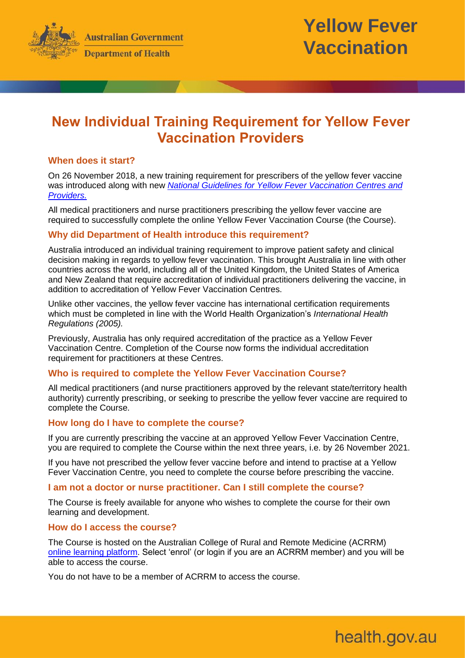



health.gov.au

# **New Individual Training Requirement for Yellow Fever Vaccination Providers**

# **When does it start?**

On 26 November 2018, a new training requirement for prescribers of the yellow fever vaccine was introduced along with new *[National Guidelines for Yellow Fever Vaccination Centres and](http://www.health.gov.au/internet/main/publishing.nsf/Content/ohp-bio-yellow-fever.htm)  [Providers.](http://www.health.gov.au/internet/main/publishing.nsf/Content/ohp-bio-yellow-fever.htm)*

All medical practitioners and nurse practitioners prescribing the yellow fever vaccine are required to successfully complete the online Yellow Fever Vaccination Course (the Course).

## **Why did Department of Health introduce this requirement?**

Australia introduced an individual training requirement to improve patient safety and clinical decision making in regards to yellow fever vaccination. This brought Australia in line with other countries across the world, including all of the United Kingdom, the United States of America and New Zealand that require accreditation of individual practitioners delivering the vaccine, in addition to accreditation of Yellow Fever Vaccination Centres.

Unlike other vaccines, the yellow fever vaccine has international certification requirements which must be completed in line with the World Health Organization's *International Health Regulations (2005).* 

Previously, Australia has only required accreditation of the practice as a Yellow Fever Vaccination Centre. Completion of the Course now forms the individual accreditation requirement for practitioners at these Centres.

# **Who is required to complete the Yellow Fever Vaccination Course?**

All medical practitioners (and nurse practitioners approved by the relevant state/territory health authority) currently prescribing, or seeking to prescribe the yellow fever vaccine are required to complete the Course.

#### **How long do I have to complete the course?**

If you are currently prescribing the vaccine at an approved Yellow Fever Vaccination Centre, you are required to complete the Course within the next three years, i.e. by 26 November 2021.

If you have not prescribed the yellow fever vaccine before and intend to practise at a Yellow Fever Vaccination Centre, you need to complete the course before prescribing the vaccine.

#### **I am not a doctor or nurse practitioner. Can I still complete the course?**

The Course is freely available for anyone who wishes to complete the course for their own learning and development.

#### **How do I access the course?**

The Course is hosted on the Australian College of Rural and Remote Medicine (ACRRM) [online learning platform.](https://www.acrrm.org.au/search/find-online-learning/details?id=13307) Select 'enrol' (or login if you are an ACRRM member) and you will be able to access the course.

You do not have to be a member of ACRRM to access the course.